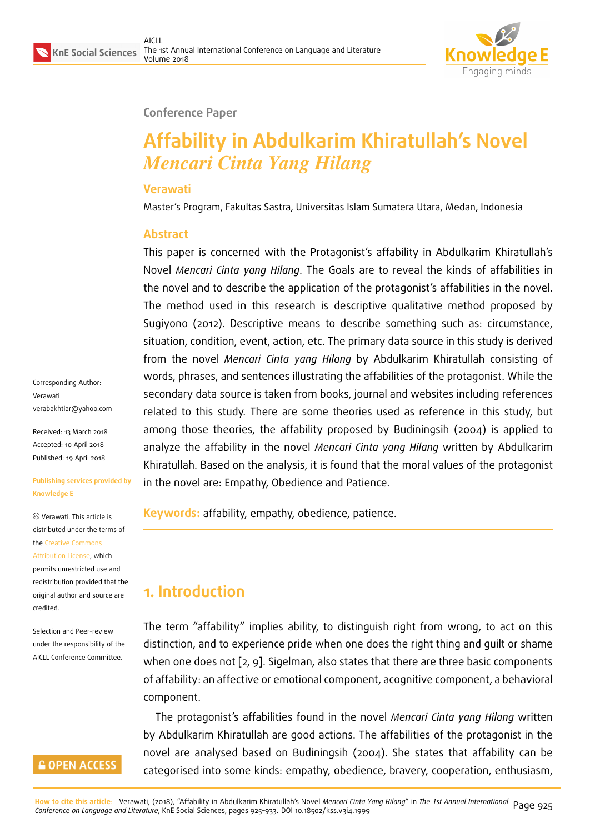

#### **Conference Paper**

# **Affability in Abdulkarim Khiratullah's Novel** *Mencari Cinta Yang Hilang*

#### **Verawati**

Master's Program, Fakultas Sastra, Universitas Islam Sumatera Utara, Medan, Indonesia

#### **Abstract**

This paper is concerned with the Protagonist's affability in Abdulkarim Khiratullah's Novel *Mencari Cinta yang Hilang*. The Goals are to reveal the kinds of affabilities in the novel and to describe the application of the protagonist's affabilities in the novel. The method used in this research is descriptive qualitative method proposed by Sugiyono (2012). Descriptive means to describe something such as: circumstance, situation, condition, event, action, etc. The primary data source in this study is derived from the novel *Mencari Cinta yang Hilang* by Abdulkarim Khiratullah consisting of words, phrases, and sentences illustrating the affabilities of the protagonist. While the secondary data source is taken from books, journal and websites including references related to this study. There are some theories used as reference in this study, but among those theories, the affability proposed by Budiningsih (2004) is applied to analyze the affability in the novel *Mencari Cinta yang Hilang* written by Abdulkarim Khiratullah. Based on the analysis, it is found that the moral values of the protagonist in the novel are: Empathy, Obedience and Patience.

**Keywords:** affability, empathy, obedience, patience.

# **1. Introduction**

The term "affability" implies ability, to distinguish right from wrong, to act on this distinction, and to experience pride when one does the right thing and guilt or shame when one does not [2, 9]. Sigelman, also states that there are three basic components of affability: an affective or emotional component, acognitive component, a behavioral component.

The protagonist's [a](#page-7-0)f[fa](#page-8-0)bilities found in the novel *Mencari Cinta yang Hilang* written by Abdulkarim Khiratullah are good actions. The affabilities of the protagonist in the novel are analysed based on Budiningsih (2004). She states that affability can be categorised into some kinds: empathy, obedience, bravery, cooperation, enthusiasm,

Corresponding Author: Verawati verabakhtiar@yahoo.com

Received: 13 March 2018 Accepted: 10 April 2018 [Published: 19 April 2018](mailto:verabakhtiar@yahoo.com)

#### **Publishing services provided by Knowledge E**

Verawati. This article is distributed under the terms of the Creative Commons Attribution License, which permits unrestricted use and redistribution provided that the ori[ginal author and sou](https://creativecommons.org/licenses/by/4.0/)rce are

Selection and Peer-review under the responsibility of the AICLL Conference Committee.

[credited.](https://creativecommons.org/licenses/by/4.0/)

### **GOPEN ACCESS**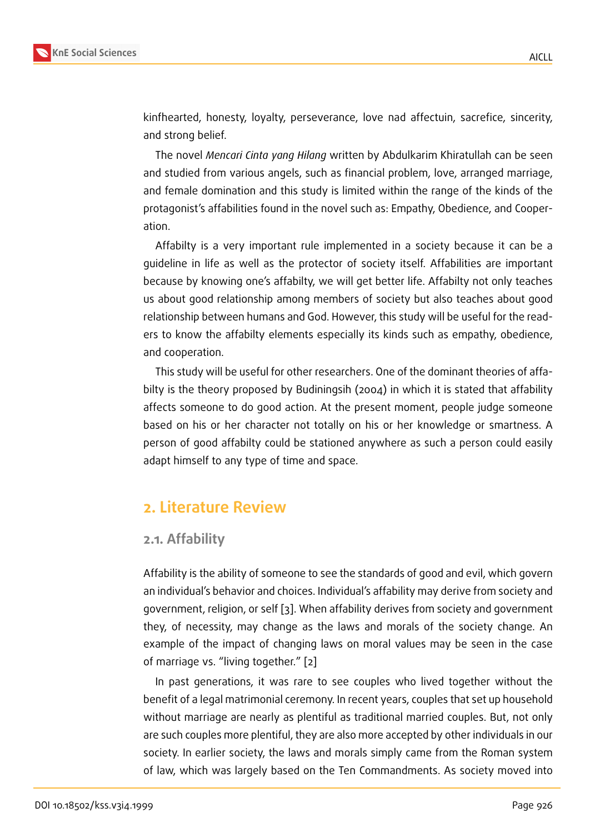kinfhearted, honesty, loyalty, perseverance, love nad affectuin, sacrefice, sincerity, and strong belief.

The novel *Mencari Cinta yang Hilang* written by Abdulkarim Khiratullah can be seen and studied from various angels, such as financial problem, love, arranged marriage, and female domination and this study is limited within the range of the kinds of the protagonist's affabilities found in the novel such as: Empathy, Obedience, and Cooperation.

Affabilty is a very important rule implemented in a society because it can be a guideline in life as well as the protector of society itself. Affabilities are important because by knowing one's affabilty, we will get better life. Affabilty not only teaches us about good relationship among members of society but also teaches about good relationship between humans and God. However, this study will be useful for the readers to know the affabilty elements especially its kinds such as empathy, obedience, and cooperation.

This study will be useful for other researchers. One of the dominant theories of affabilty is the theory proposed by Budiningsih (2004) in which it is stated that affability affects someone to do good action. At the present moment, people judge someone based on his or her character not totally on his or her knowledge or smartness. A person of good affabilty could be stationed anywhere as such a person could easily adapt himself to any type of time and space.

# **2. Literature Review**

#### **2.1. Affability**

Affability is the ability of someone to see the standards of good and evil, which govern an individual's behavior and choices. Individual's affability may derive from society and government, religion, or self [3]. When affability derives from society and government they, of necessity, may change as the laws and morals of the society change. An example of the impact of changing laws on moral values may be seen in the case of marriage vs. "living togeth[e](#page-8-1)r." [2]

In past generations, it was rare to see couples who lived together without the benefit of a legal matrimonial ceremony. In recent years, couples that set up household without marriage are nearly as pl[en](#page-7-0)tiful as traditional married couples. But, not only are such couples more plentiful, they are also more accepted by other individuals in our society. In earlier society, the laws and morals simply came from the Roman system of law, which was largely based on the Ten Commandments. As society moved into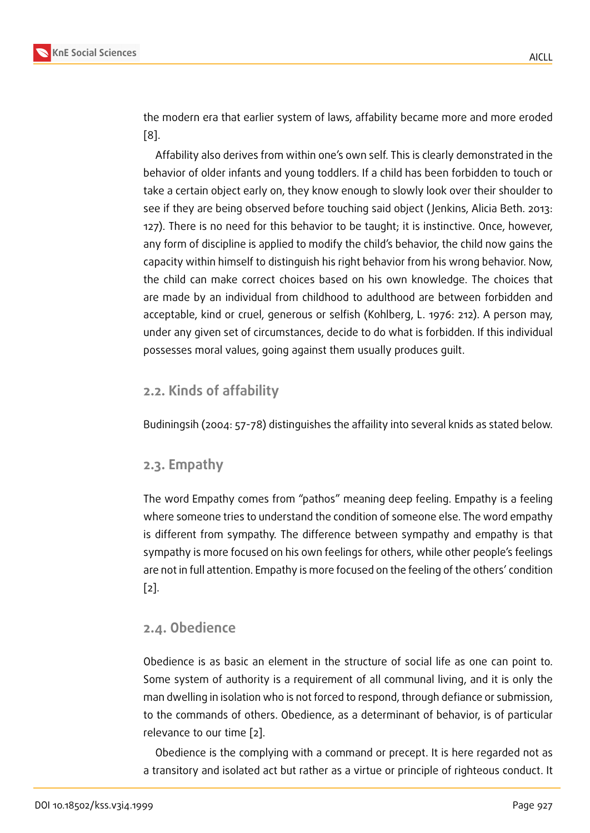the modern era that earlier system of laws, affability became more and more eroded [8].

Affability also derives from within one's own self. This is clearly demonstrated in the behavior of older infants and young toddlers. If a child has been forbidden to touch or t[ak](#page-8-2)e a certain object early on, they know enough to slowly look over their shoulder to see if they are being observed before touching said object ( Jenkins, Alicia Beth. 2013: 127). There is no need for this behavior to be taught; it is instinctive. Once, however, any form of discipline is applied to modify the child's behavior, the child now gains the capacity within himself to distinguish his right behavior from his wrong behavior. Now, the child can make correct choices based on his own knowledge. The choices that are made by an individual from childhood to adulthood are between forbidden and acceptable, kind or cruel, generous or selfish (Kohlberg, L. 1976: 212). A person may, under any given set of circumstances, decide to do what is forbidden. If this individual possesses moral values, going against them usually produces guilt.

### **2.2. Kinds of affability**

Budiningsih (2004: 57-78) distinguishes the affaility into several knids as stated below.

### **2.3. Empathy**

The word Empathy comes from "pathos" meaning deep feeling. Empathy is a feeling where someone tries to understand the condition of someone else. The word empathy is different from sympathy. The difference between sympathy and empathy is that sympathy is more focused on his own feelings for others, while other people's feelings are not in full attention. Empathy is more focused on the feeling of the others' condition [2].

### **[2.](#page-7-0)4. Obedience**

Obedience is as basic an element in the structure of social life as one can point to. Some system of authority is a requirement of all communal living, and it is only the man dwelling in isolation who is not forced to respond, through defiance or submission, to the commands of others. Obedience, as a determinant of behavior, is of particular relevance to our time [2].

Obedience is the complying with a command or precept. It is here regarded not as a transitory and isolat[ed](#page-7-0) act but rather as a virtue or principle of righteous conduct. It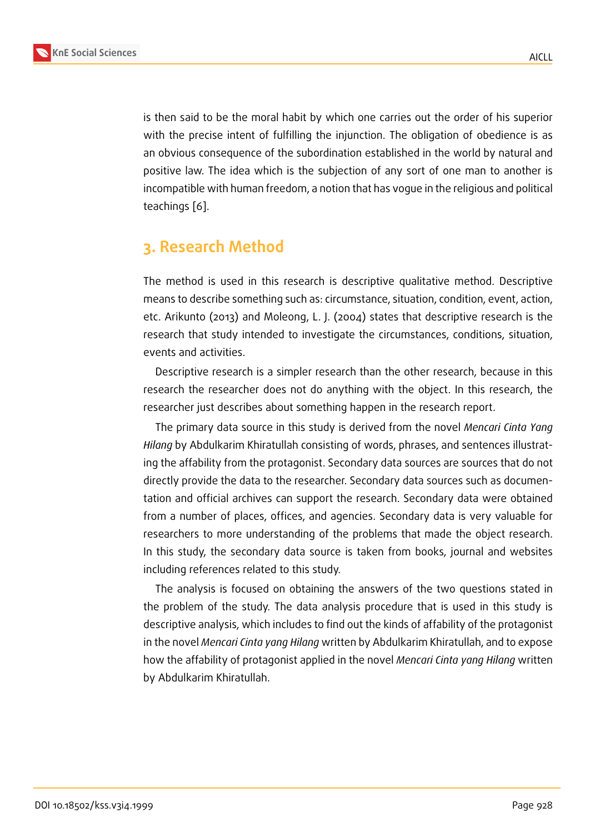is then said to be the moral habit by which one carries out the order of his superior with the precise intent of fulfilling the injunction. The obligation of obedience is as an obvious consequence of the subordination established in the world by natural and positive law. The idea which is the subjection of any sort of one man to another is incompatible with human freedom, a notion that has vogue in the religious and political teachings [6].

# **3. Rese[ar](#page-8-3)ch Method**

The method is used in this research is descriptive qualitative method. Descriptive means to describe something such as: circumstance, situation, condition, event, action, etc. Arikunto (2013) and Moleong, L. J. (2004) states that descriptive research is the research that study intended to investigate the circumstances, conditions, situation, events and activities.

Descriptive research is a simpler research than the other research, because in this research the researcher does not do anything with the object. In this research, the researcher just describes about something happen in the research report.

The primary data source in this study is derived from the novel *Mencari Cinta Yang Hilang* by Abdulkarim Khiratullah consisting of words, phrases, and sentences illustrating the affability from the protagonist. Secondary data sources are sources that do not directly provide the data to the researcher. Secondary data sources such as documentation and official archives can support the research. Secondary data were obtained from a number of places, offices, and agencies. Secondary data is very valuable for researchers to more understanding of the problems that made the object research. In this study, the secondary data source is taken from books, journal and websites including references related to this study.

The analysis is focused on obtaining the answers of the two questions stated in the problem of the study. The data analysis procedure that is used in this study is descriptive analysis, which includes to find out the kinds of affability of the protagonist in the novel *Mencari Cinta yang Hilang* written by Abdulkarim Khiratullah, and to expose how the affability of protagonist applied in the novel *Mencari Cinta yang Hilang* written by Abdulkarim Khiratullah.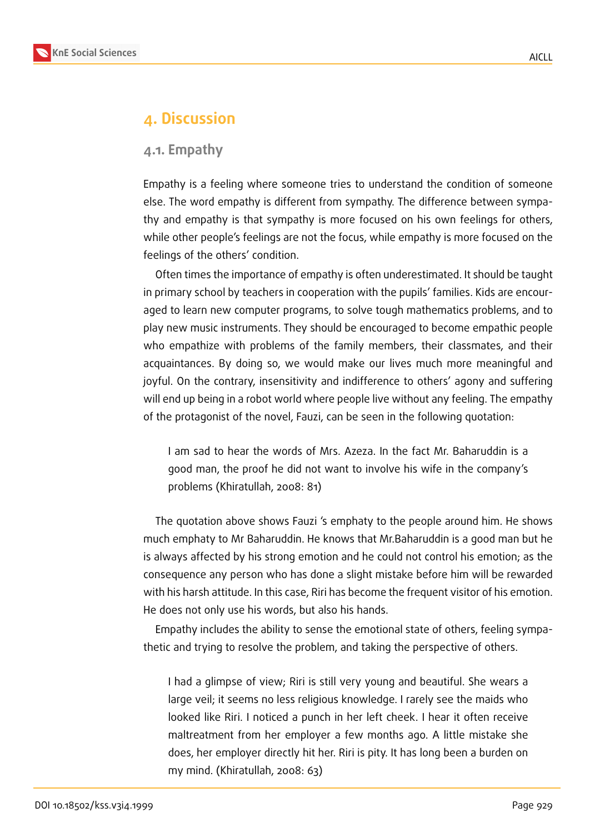

### **4. Discussion**

#### **4.1. Empathy**

Empathy is a feeling where someone tries to understand the condition of someone else. The word empathy is different from sympathy. The difference between sympathy and empathy is that sympathy is more focused on his own feelings for others, while other people's feelings are not the focus, while empathy is more focused on the feelings of the others' condition.

Often times the importance of empathy is often underestimated. It should be taught in primary school by teachers in cooperation with the pupils' families. Kids are encouraged to learn new computer programs, to solve tough mathematics problems, and to play new music instruments. They should be encouraged to become empathic people who empathize with problems of the family members, their classmates, and their acquaintances. By doing so, we would make our lives much more meaningful and joyful. On the contrary, insensitivity and indifference to others' agony and suffering will end up being in a robot world where people live without any feeling. The empathy of the protagonist of the novel, Fauzi, can be seen in the following quotation:

I am sad to hear the words of Mrs. Azeza. In the fact Mr. Baharuddin is a good man, the proof he did not want to involve his wife in the company's problems (Khiratullah, 2008: 81)

The quotation above shows Fauzi 's emphaty to the people around him. He shows much emphaty to Mr Baharuddin. He knows that Mr.Baharuddin is a good man but he is always affected by his strong emotion and he could not control his emotion; as the consequence any person who has done a slight mistake before him will be rewarded with his harsh attitude. In this case, Riri has become the frequent visitor of his emotion. He does not only use his words, but also his hands.

Empathy includes the ability to sense the emotional state of others, feeling sympathetic and trying to resolve the problem, and taking the perspective of others.

I had a glimpse of view; Riri is still very young and beautiful. She wears a large veil; it seems no less religious knowledge. I rarely see the maids who looked like Riri. I noticed a punch in her left cheek. I hear it often receive maltreatment from her employer a few months ago. A little mistake she does, her employer directly hit her. Riri is pity. It has long been a burden on my mind. (Khiratullah, 2008: 63)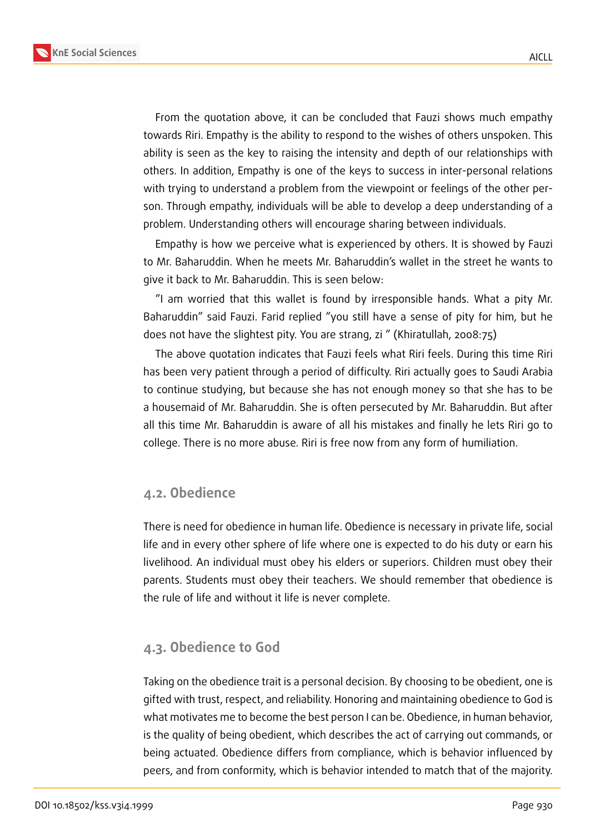



From the quotation above, it can be concluded that Fauzi shows much empathy towards Riri. Empathy is the ability to respond to the wishes of others unspoken. This ability is seen as the key to raising the intensity and depth of our relationships with others. In addition, Empathy is one of the keys to success in inter-personal relations with trying to understand a problem from the viewpoint or feelings of the other person. Through empathy, individuals will be able to develop a deep understanding of a problem. Understanding others will encourage sharing between individuals.

Empathy is how we perceive what is experienced by others. It is showed by Fauzi to Mr. Baharuddin. When he meets Mr. Baharuddin's wallet in the street he wants to give it back to Mr. Baharuddin. This is seen below:

"I am worried that this wallet is found by irresponsible hands. What a pity Mr. Baharuddin" said Fauzi. Farid replied "you still have a sense of pity for him, but he does not have the slightest pity. You are strang, zi " (Khiratullah, 2008:75)

The above quotation indicates that Fauzi feels what Riri feels. During this time Riri has been very patient through a period of difficulty. Riri actually goes to Saudi Arabia to continue studying, but because she has not enough money so that she has to be a housemaid of Mr. Baharuddin. She is often persecuted by Mr. Baharuddin. But after all this time Mr. Baharuddin is aware of all his mistakes and finally he lets Riri go to college. There is no more abuse. Riri is free now from any form of humiliation.

#### **4.2. Obedience**

There is need for obedience in human life. Obedience is necessary in private life, social life and in every other sphere of life where one is expected to do his duty or earn his livelihood. An individual must obey his elders or superiors. Children must obey their parents. Students must obey their teachers. We should remember that obedience is the rule of life and without it life is never complete.

#### **4.3. Obedience to God**

Taking on the obedience trait is a personal decision. By choosing to be obedient, one is gifted with trust, respect, and reliability. Honoring and maintaining obedience to God is what motivates me to become the best person I can be. Obedience, in human behavior, is the quality of being obedient, which describes the act of carrying out commands, or being actuated. Obedience differs from compliance, which is behavior influenced by peers, and from conformity, which is behavior intended to match that of the majority.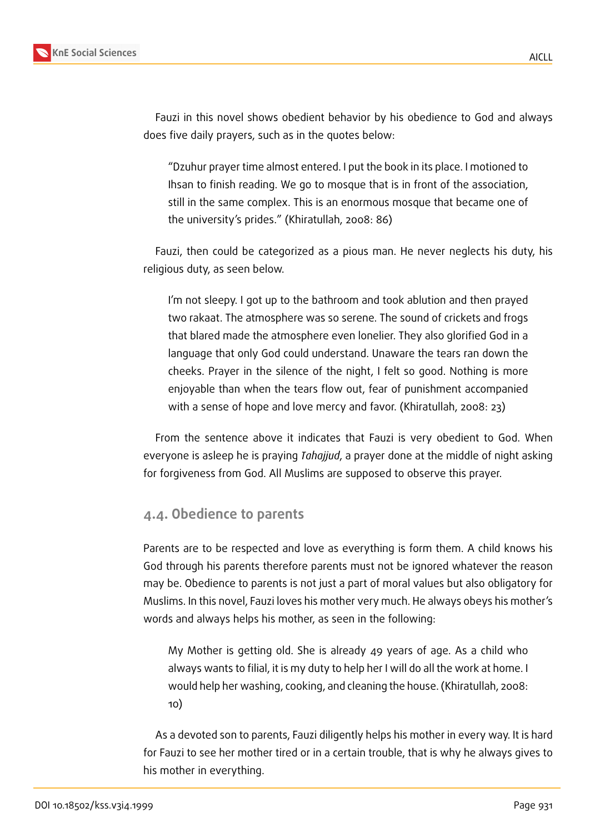

Fauzi in this novel shows obedient behavior by his obedience to God and always does five daily prayers, such as in the quotes below:

"Dzuhur prayer time almost entered. I put the book in its place. I motioned to Ihsan to finish reading. We go to mosque that is in front of the association, still in the same complex. This is an enormous mosque that became one of the university's prides." (Khiratullah, 2008: 86)

Fauzi, then could be categorized as a pious man. He never neglects his duty, his religious duty, as seen below.

I'm not sleepy. I got up to the bathroom and took ablution and then prayed two rakaat. The atmosphere was so serene. The sound of crickets and frogs that blared made the atmosphere even lonelier. They also glorified God in a language that only God could understand. Unaware the tears ran down the cheeks. Prayer in the silence of the night, I felt so good. Nothing is more enjoyable than when the tears flow out, fear of punishment accompanied with a sense of hope and love mercy and favor. (Khiratullah, 2008: 23)

From the sentence above it indicates that Fauzi is very obedient to God. When everyone is asleep he is praying *Tahajjud*, a prayer done at the middle of night asking for forgiveness from God. All Muslims are supposed to observe this prayer.

#### **4.4. Obedience to parents**

Parents are to be respected and love as everything is form them. A child knows his God through his parents therefore parents must not be ignored whatever the reason may be. Obedience to parents is not just a part of moral values but also obligatory for Muslims. In this novel, Fauzi loves his mother very much. He always obeys his mother's words and always helps his mother, as seen in the following:

My Mother is getting old. She is already 49 years of age. As a child who always wants to filial, it is my duty to help her I will do all the work at home. I would help her washing, cooking, and cleaning the house. (Khiratullah, 2008: 10)

As a devoted son to parents, Fauzi diligently helps his mother in every way. It is hard for Fauzi to see her mother tired or in a certain trouble, that is why he always gives to his mother in everything.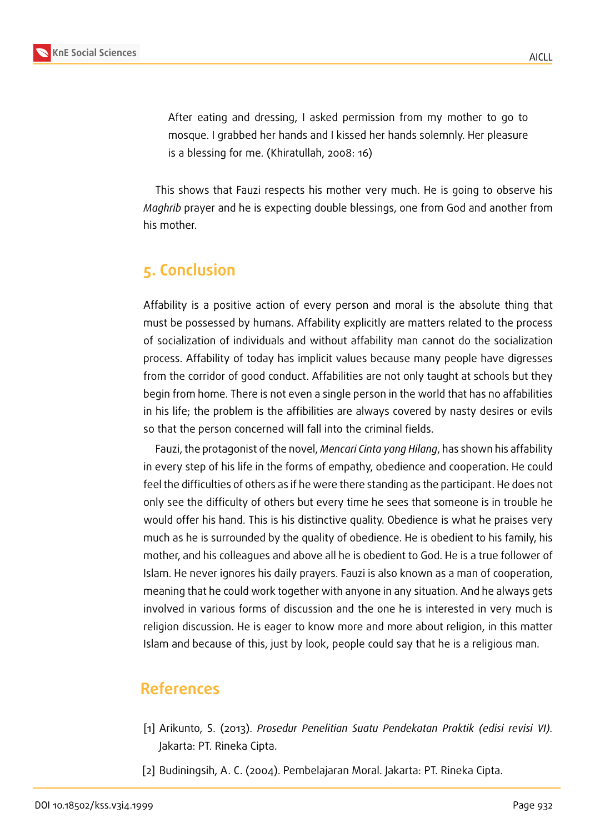

After eating and dressing, I asked permission from my mother to go to mosque. I grabbed her hands and I kissed her hands solemnly. Her pleasure is a blessing for me. (Khiratullah, 2008: 16)

This shows that Fauzi respects his mother very much. He is going to observe his *Maghrib* prayer and he is expecting double blessings, one from God and another from his mother.

# **5. Conclusion**

Affability is a positive action of every person and moral is the absolute thing that must be possessed by humans. Affability explicitly are matters related to the process of socialization of individuals and without affability man cannot do the socialization process. Affability of today has implicit values because many people have digresses from the corridor of good conduct. Affabilities are not only taught at schools but they begin from home. There is not even a single person in the world that has no affabilities in his life; the problem is the affibilities are always covered by nasty desires or evils so that the person concerned will fall into the criminal fields.

Fauzi, the protagonist of the novel, *Mencari Cinta yang Hilang*, has shown his affability in every step of his life in the forms of empathy, obedience and cooperation. He could feel the difficulties of others as if he were there standing as the participant. He does not only see the difficulty of others but every time he sees that someone is in trouble he would offer his hand. This is his distinctive quality. Obedience is what he praises very much as he is surrounded by the quality of obedience. He is obedient to his family, his mother, and his colleagues and above all he is obedient to God. He is a true follower of Islam. He never ignores his daily prayers. Fauzi is also known as a man of cooperation, meaning that he could work together with anyone in any situation. And he always gets involved in various forms of discussion and the one he is interested in very much is religion discussion. He is eager to know more and more about religion, in this matter Islam and because of this, just by look, people could say that he is a religious man.

## **References**

- [1] Arikunto, S. (2013). *Prosedur Penelitian Suatu Pendekatan Praktik (edisi revisi VI).* Jakarta: PT. Rineka Cipta.
- <span id="page-7-0"></span>[2] Budiningsih, A. C. (2004). Pembelajaran Moral. Jakarta: PT. Rineka Cipta.